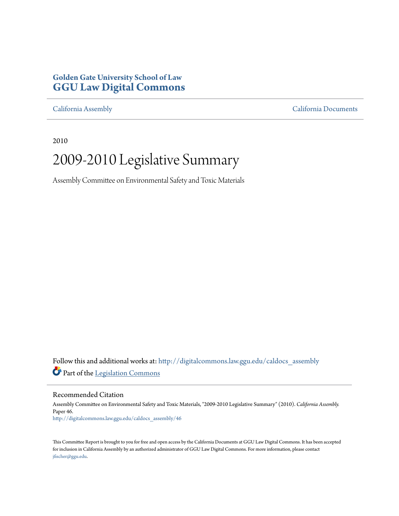#### **Golden Gate University School of Law [GGU Law Digital Commons](http://digitalcommons.law.ggu.edu?utm_source=digitalcommons.law.ggu.edu%2Fcaldocs_assembly%2F46&utm_medium=PDF&utm_campaign=PDFCoverPages)**

[California Assembly](http://digitalcommons.law.ggu.edu/caldocs_assembly?utm_source=digitalcommons.law.ggu.edu%2Fcaldocs_assembly%2F46&utm_medium=PDF&utm_campaign=PDFCoverPages) [California Documents](http://digitalcommons.law.ggu.edu/caldocs?utm_source=digitalcommons.law.ggu.edu%2Fcaldocs_assembly%2F46&utm_medium=PDF&utm_campaign=PDFCoverPages)

2010

## 2009-2010 Legislative Summary

Assembly Committee on Environmental Safety and Toxic Materials

Follow this and additional works at: [http://digitalcommons.law.ggu.edu/caldocs\\_assembly](http://digitalcommons.law.ggu.edu/caldocs_assembly?utm_source=digitalcommons.law.ggu.edu%2Fcaldocs_assembly%2F46&utm_medium=PDF&utm_campaign=PDFCoverPages) Part of the [Legislation Commons](http://network.bepress.com/hgg/discipline/859?utm_source=digitalcommons.law.ggu.edu%2Fcaldocs_assembly%2F46&utm_medium=PDF&utm_campaign=PDFCoverPages)

#### Recommended Citation

Assembly Committee on Environmental Safety and Toxic Materials, "2009-2010 Legislative Summary" (2010). *California Assembly.* Paper 46. [http://digitalcommons.law.ggu.edu/caldocs\\_assembly/46](http://digitalcommons.law.ggu.edu/caldocs_assembly/46?utm_source=digitalcommons.law.ggu.edu%2Fcaldocs_assembly%2F46&utm_medium=PDF&utm_campaign=PDFCoverPages)

This Committee Report is brought to you for free and open access by the California Documents at GGU Law Digital Commons. It has been accepted for inclusion in California Assembly by an authorized administrator of GGU Law Digital Commons. For more information, please contact [jfischer@ggu.edu](mailto:jfischer@ggu.edu).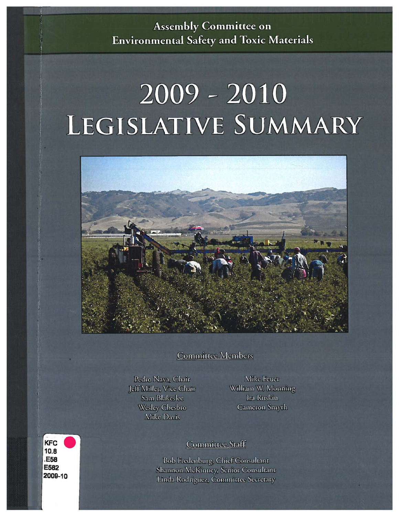## **Assembly Committee on Environmental Safety and Toxic Materials**

# $2009 - 2010$ LEGISLATIVE SUMMARY



**Committee Members** 

Pedro Nava, Chair Jeff Miller, Vice Chair Sam Blakeslee Wesley Chesbro Mike Davis

Mike Feuer William W. Monning Ira Ruskin Cameron Smyth

#### **KFC**  $10.8$ **.E58** E582 2009-10

#### Committee Staff

Bob Fredenburg, Chief Consultant Shannon McKinney, Senior Consultant Linda Rodriguez, Committee Secretary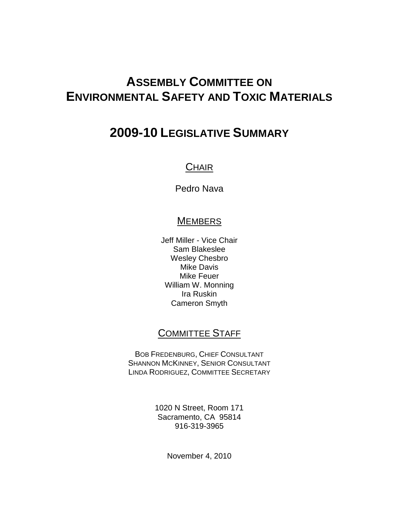## **ASSEMBLY COMMITTEE ON ENVIRONMENTAL SAFETY AND TOXIC MATERIALS**

## **2009-10 LEGISLATIVE SUMMARY**

### **CHAIR**

Pedro Nava

#### **MEMBERS**

Jeff Miller - Vice Chair Sam Blakeslee Wesley Chesbro Mike Davis Mike Feuer William W. Monning Ira Ruskin Cameron Smyth

#### COMMITTEE STAFF

BOB FREDENBURG, CHIEF CONSULTANT SHANNON MCKINNEY, SENIOR CONSULTANT LINDA RODRIGUEZ, COMMITTEE SECRETARY

> 1020 N Street, Room 171 Sacramento, CA 95814 916-319-3965

> > November 4, 2010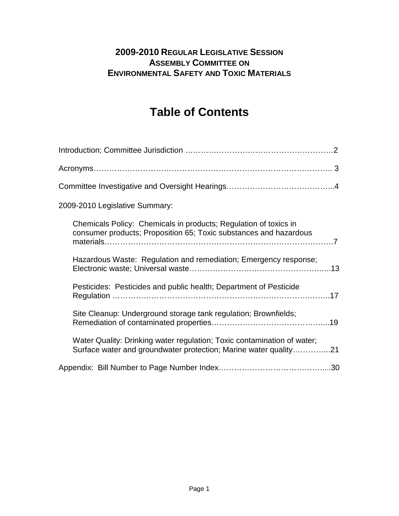#### **2009-2010 REGULAR LEGISLATIVE SESSION ASSEMBLY COMMITTEE ON ENVIRONMENTAL SAFETY AND TOXIC MATERIALS**

## **Table of Contents**

| 2009-2010 Legislative Summary:                                                                                                              |
|---------------------------------------------------------------------------------------------------------------------------------------------|
| Chemicals Policy: Chemicals in products; Regulation of toxics in<br>consumer products; Proposition 65; Toxic substances and hazardous       |
| Hazardous Waste: Regulation and remediation; Emergency response;                                                                            |
| Pesticides: Pesticides and public health; Department of Pesticide                                                                           |
| Site Cleanup: Underground storage tank regulation; Brownfields;                                                                             |
| Water Quality: Drinking water regulation; Toxic contamination of water;<br>Surface water and groundwater protection; Marine water quality21 |
|                                                                                                                                             |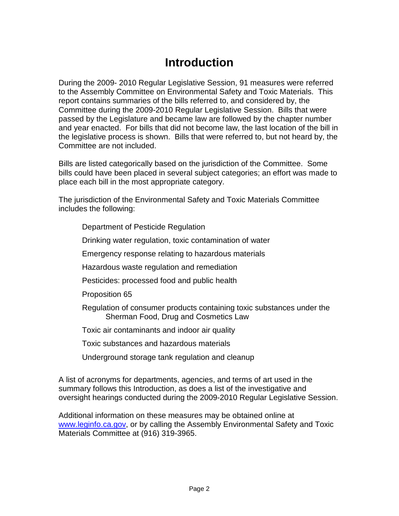## **Introduction**

During the 2009- 2010 Regular Legislative Session, 91 measures were referred to the Assembly Committee on Environmental Safety and Toxic Materials. This report contains summaries of the bills referred to, and considered by, the Committee during the 2009-2010 Regular Legislative Session. Bills that were passed by the Legislature and became law are followed by the chapter number and year enacted. For bills that did not become law, the last location of the bill in the legislative process is shown. Bills that were referred to, but not heard by, the Committee are not included.

Bills are listed categorically based on the jurisdiction of the Committee. Some bills could have been placed in several subject categories; an effort was made to place each bill in the most appropriate category.

The jurisdiction of the Environmental Safety and Toxic Materials Committee includes the following:

- Department of Pesticide Regulation
- Drinking water regulation, toxic contamination of water
- Emergency response relating to hazardous materials
- Hazardous waste regulation and remediation
- Pesticides: processed food and public health
- Proposition 65
- Regulation of consumer products containing toxic substances under the Sherman Food, Drug and Cosmetics Law
- Toxic air contaminants and indoor air quality
- Toxic substances and hazardous materials
- Underground storage tank regulation and cleanup

A list of acronyms for departments, agencies, and terms of art used in the summary follows this Introduction, as does a list of the investigative and oversight hearings conducted during the 2009-2010 Regular Legislative Session.

Additional information on these measures may be obtained online at www.leginfo.ca.gov, or by calling the Assembly Environmental Safety and Toxic Materials Committee at (916) 319-3965.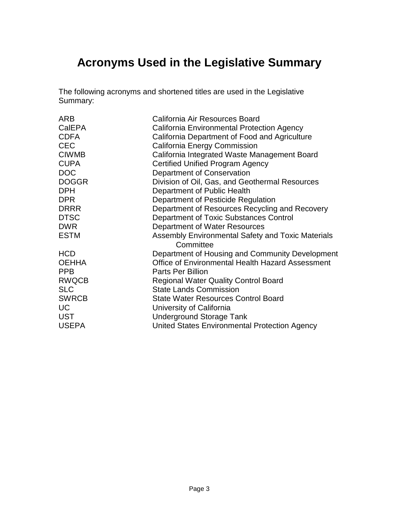## **Acronyms Used in the Legislative Summary**

The following acronyms and shortened titles are used in the Legislative Summary:

| <b>ARB</b>   | California Air Resources Board                    |
|--------------|---------------------------------------------------|
| CalEPA       | California Environmental Protection Agency        |
| <b>CDFA</b>  | California Department of Food and Agriculture     |
| <b>CEC</b>   | <b>California Energy Commission</b>               |
| <b>CIWMB</b> | California Integrated Waste Management Board      |
| <b>CUPA</b>  | <b>Certified Unified Program Agency</b>           |
| <b>DOC</b>   | Department of Conservation                        |
| <b>DOGGR</b> | Division of Oil, Gas, and Geothermal Resources    |
| <b>DPH</b>   | Department of Public Health                       |
| DPR          | Department of Pesticide Regulation                |
| <b>DRRR</b>  | Department of Resources Recycling and Recovery    |
| <b>DTSC</b>  | Department of Toxic Substances Control            |
| <b>DWR</b>   | Department of Water Resources                     |
| <b>ESTM</b>  | Assembly Environmental Safety and Toxic Materials |
|              | Committee                                         |
| <b>HCD</b>   | Department of Housing and Community Development   |
| <b>OEHHA</b> | Office of Environmental Health Hazard Assessment  |
| <b>PPB</b>   | Parts Per Billion                                 |
| <b>RWQCB</b> | <b>Regional Water Quality Control Board</b>       |
| <b>SLC</b>   | <b>State Lands Commission</b>                     |
| <b>SWRCB</b> | <b>State Water Resources Control Board</b>        |
| <b>UC</b>    | University of California                          |
| <b>UST</b>   | <b>Underground Storage Tank</b>                   |
| <b>USEPA</b> | United States Environmental Protection Agency     |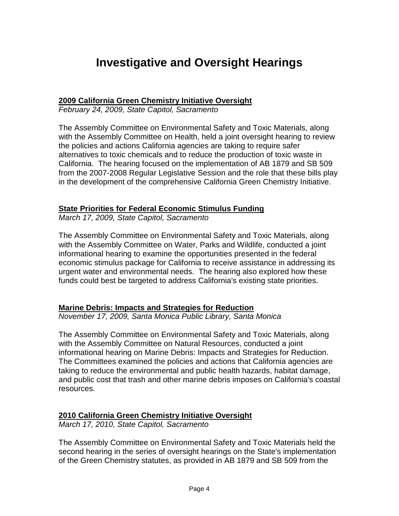## **Investigative and Oversight Hearings**

#### **2009 California Green Chemistry Initiative Oversight**

February 24, 2009, State Capitol, Sacramento

The Assembly Committee on Environmental Safety and Toxic Materials, along with the Assembly Committee on Health, held a joint oversight hearing to review the policies and actions California agencies are taking to require safer alternatives to toxic chemicals and to reduce the production of toxic waste in California. The hearing focused on the implementation of AB 1879 and SB 509 from the 2007-2008 Regular Legislative Session and the role that these bills play in the development of the comprehensive California Green Chemistry Initiative.

#### **State Priorities for Federal Economic Stimulus Funding**

March 17, 2009, State Capitol, Sacramento

The Assembly Committee on Environmental Safety and Toxic Materials, along with the Assembly Committee on Water, Parks and Wildlife, conducted a joint informational hearing to examine the opportunities presented in the federal economic stimulus package for California to receive assistance in addressing its urgent water and environmental needs. The hearing also explored how these funds could best be targeted to address California's existing state priorities.

#### **Marine Debris: Impacts and Strategies for Reduction**

November 17, 2009, Santa Monica Public Library, Santa Monica

The Assembly Committee on Environmental Safety and Toxic Materials, along with the Assembly Committee on Natural Resources, conducted a joint informational hearing on Marine Debris: Impacts and Strategies for Reduction. The Committees examined the policies and actions that California agencies are taking to reduce the environmental and public health hazards, habitat damage, and public cost that trash and other marine debris imposes on California's coastal resources.

#### **2010 California Green Chemistry Initiative Oversight**

March 17, 2010, State Capitol, Sacramento

The Assembly Committee on Environmental Safety and Toxic Materials held the second hearing in the series of oversight hearings on the State's implementation of the Green Chemistry statutes, as provided in AB 1879 and SB 509 from the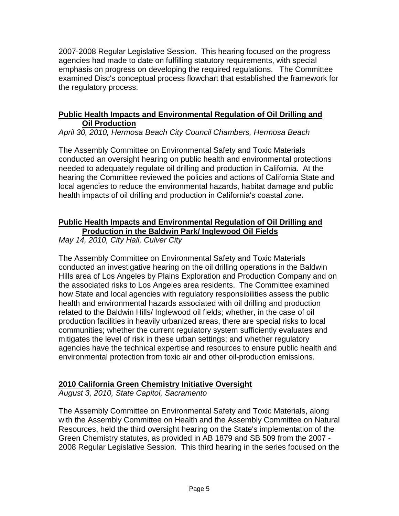2007-2008 Regular Legislative Session. This hearing focused on the progress agencies had made to date on fulfilling statutory requirements, with special emphasis on progress on developing the required regulations. The Committee examined Disc's conceptual process flowchart that established the framework for the regulatory process.

#### **Public Health Impacts and Environmental Regulation of Oil Drilling and Oil Production**

April 30, 2010, Hermosa Beach City Council Chambers, Hermosa Beach

The Assembly Committee on Environmental Safety and Toxic Materials conducted an oversight hearing on public health and environmental protections needed to adequately regulate oil drilling and production in California. At the hearing the Committee reviewed the policies and actions of California State and local agencies to reduce the environmental hazards, habitat damage and public health impacts of oil drilling and production in California's coastal zone**.** 

#### **Public Health Impacts and Environmental Regulation of Oil Drilling and Production in the Baldwin Park/ Inglewood Oil Fields**

May 14, 2010, City Hall, Culver City

The Assembly Committee on Environmental Safety and Toxic Materials conducted an investigative hearing on the oil drilling operations in the Baldwin Hills area of Los Angeles by Plains Exploration and Production Company and on the associated risks to Los Angeles area residents. The Committee examined how State and local agencies with regulatory responsibilities assess the public health and environmental hazards associated with oil drilling and production related to the Baldwin Hills/ Inglewood oil fields; whether, in the case of oil production facilities in heavily urbanized areas, there are special risks to local communities; whether the current regulatory system sufficiently evaluates and mitigates the level of risk in these urban settings; and whether regulatory agencies have the technical expertise and resources to ensure public health and environmental protection from toxic air and other oil-production emissions.

#### **2010 California Green Chemistry Initiative Oversight**

August 3, 2010, State Capitol, Sacramento

The Assembly Committee on Environmental Safety and Toxic Materials, along with the Assembly Committee on Health and the Assembly Committee on Natural Resources, held the third oversight hearing on the State's implementation of the Green Chemistry statutes, as provided in AB 1879 and SB 509 from the 2007 - 2008 Regular Legislative Session. This third hearing in the series focused on the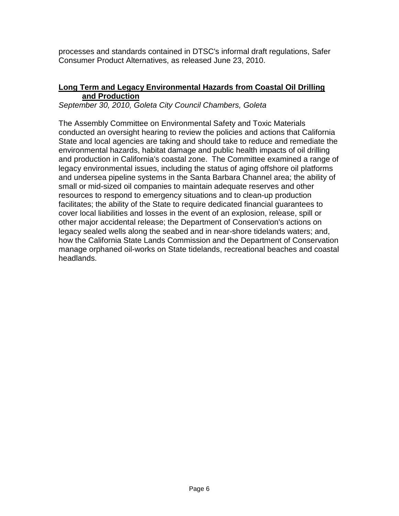processes and standards contained in DTSC's informal draft regulations, Safer Consumer Product Alternatives, as released June 23, 2010.

#### **Long Term and Legacy Environmental Hazards from Coastal Oil Drilling and Production**

September 30, 2010, Goleta City Council Chambers, Goleta

The Assembly Committee on Environmental Safety and Toxic Materials conducted an oversight hearing to review the policies and actions that California State and local agencies are taking and should take to reduce and remediate the environmental hazards, habitat damage and public health impacts of oil drilling and production in California's coastal zone. The Committee examined a range of legacy environmental issues, including the status of aging offshore oil platforms and undersea pipeline systems in the Santa Barbara Channel area; the ability of small or mid-sized oil companies to maintain adequate reserves and other resources to respond to emergency situations and to clean-up production facilitates; the ability of the State to require dedicated financial guarantees to cover local liabilities and losses in the event of an explosion, release, spill or other major accidental release; the Department of Conservation's actions on legacy sealed wells along the seabed and in near-shore tidelands waters; and, how the California State Lands Commission and the Department of Conservation manage orphaned oil-works on State tidelands, recreational beaches and coastal headlands.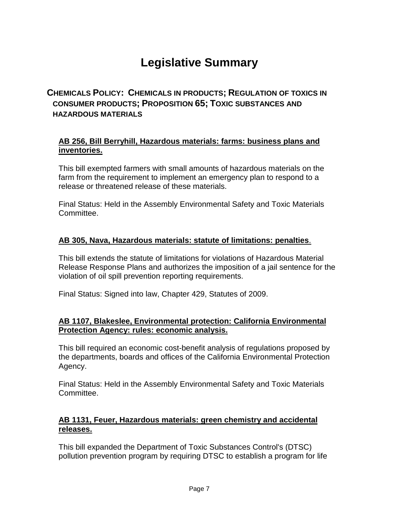## **Legislative Summary**

#### **CHEMICALS POLICY: CHEMICALS IN PRODUCTS; REGULATION OF TOXICS IN CONSUMER PRODUCTS; PROPOSITION 65; TOXIC SUBSTANCES AND HAZARDOUS MATERIALS**

#### **AB 256, Bill Berryhill, Hazardous materials: farms: business plans and inventories.**

This bill exempted farmers with small amounts of hazardous materials on the farm from the requirement to implement an emergency plan to respond to a release or threatened release of these materials.

Final Status: Held in the Assembly Environmental Safety and Toxic Materials Committee.

#### **AB 305, Nava, Hazardous materials: statute of limitations: penalties**.

This bill extends the statute of limitations for violations of Hazardous Material Release Response Plans and authorizes the imposition of a jail sentence for the violation of oil spill prevention reporting requirements.

Final Status: Signed into law, Chapter 429, Statutes of 2009.

#### **AB 1107, Blakeslee, Environmental protection: California Environmental Protection Agency: rules: economic analysis.**

This bill required an economic cost-benefit analysis of regulations proposed by the departments, boards and offices of the California Environmental Protection Agency.

Final Status: Held in the Assembly Environmental Safety and Toxic Materials Committee.

#### **AB 1131, Feuer, Hazardous materials: green chemistry and accidental releases.**

This bill expanded the Department of Toxic Substances Control's (DTSC) pollution prevention program by requiring DTSC to establish a program for life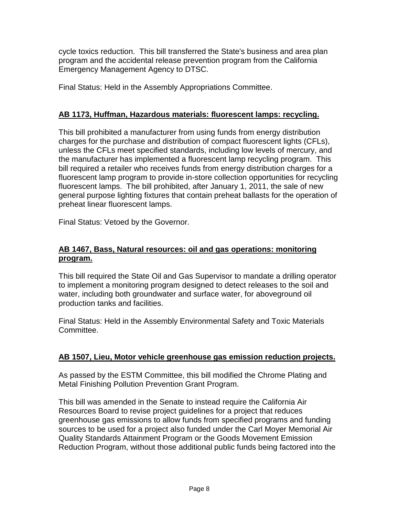cycle toxics reduction. This bill transferred the State's business and area plan program and the accidental release prevention program from the California Emergency Management Agency to DTSC.

Final Status: Held in the Assembly Appropriations Committee.

#### **AB 1173, Huffman, Hazardous materials: fluorescent lamps: recycling.**

This bill prohibited a manufacturer from using funds from energy distribution charges for the purchase and distribution of compact fluorescent lights (CFLs), unless the CFLs meet specified standards, including low levels of mercury, and the manufacturer has implemented a fluorescent lamp recycling program. This bill required a retailer who receives funds from energy distribution charges for a fluorescent lamp program to provide in-store collection opportunities for recycling fluorescent lamps. The bill prohibited, after January 1, 2011, the sale of new general purpose lighting fixtures that contain preheat ballasts for the operation of preheat linear fluorescent lamps.

Final Status: Vetoed by the Governor.

#### **AB 1467, Bass, Natural resources: oil and gas operations: monitoring program.**

This bill required the State Oil and Gas Supervisor to mandate a drilling operator to implement a monitoring program designed to detect releases to the soil and water, including both groundwater and surface water, for aboveground oil production tanks and facilities.

Final Status: Held in the Assembly Environmental Safety and Toxic Materials Committee.

#### **AB 1507, Lieu, Motor vehicle greenhouse gas emission reduction projects.**

As passed by the ESTM Committee, this bill modified the Chrome Plating and Metal Finishing Pollution Prevention Grant Program.

This bill was amended in the Senate to instead require the California Air Resources Board to revise project guidelines for a project that reduces greenhouse gas emissions to allow funds from specified programs and funding sources to be used for a project also funded under the Carl Moyer Memorial Air Quality Standards Attainment Program or the Goods Movement Emission Reduction Program, without those additional public funds being factored into the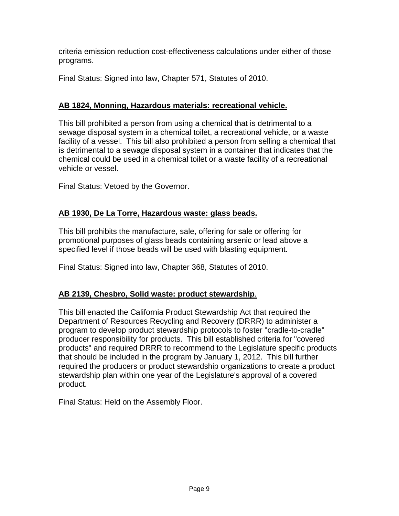criteria emission reduction cost-effectiveness calculations under either of those programs.

Final Status: Signed into law, Chapter 571, Statutes of 2010.

#### **AB 1824, Monning, Hazardous materials: recreational vehicle.**

This bill prohibited a person from using a chemical that is detrimental to a sewage disposal system in a chemical toilet, a recreational vehicle, or a waste facility of a vessel. This bill also prohibited a person from selling a chemical that is detrimental to a sewage disposal system in a container that indicates that the chemical could be used in a chemical toilet or a waste facility of a recreational vehicle or vessel.

Final Status: Vetoed by the Governor.

#### **AB 1930, De La Torre, Hazardous waste: glass beads.**

This bill prohibits the manufacture, sale, offering for sale or offering for promotional purposes of glass beads containing arsenic or lead above a specified level if those beads will be used with blasting equipment.

Final Status: Signed into law, Chapter 368, Statutes of 2010.

#### **AB 2139, Chesbro, Solid waste: product stewardship**.

This bill enacted the California Product Stewardship Act that required the Department of Resources Recycling and Recovery (DRRR) to administer a program to develop product stewardship protocols to foster "cradle-to-cradle" producer responsibility for products. This bill established criteria for "covered products" and required DRRR to recommend to the Legislature specific products that should be included in the program by January 1, 2012. This bill further required the producers or product stewardship organizations to create a product stewardship plan within one year of the Legislature's approval of a covered product.

Final Status: Held on the Assembly Floor.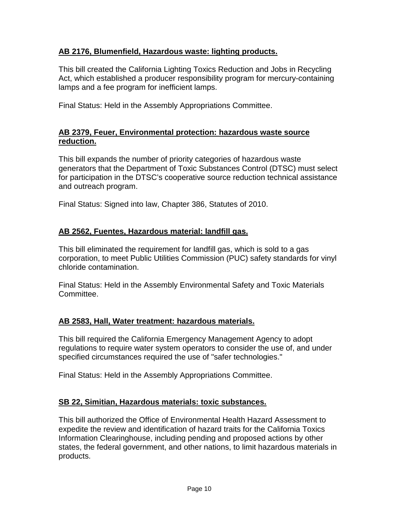#### **AB 2176, Blumenfield, Hazardous waste: lighting products.**

This bill created the California Lighting Toxics Reduction and Jobs in Recycling Act, which established a producer responsibility program for mercury-containing lamps and a fee program for inefficient lamps.

Final Status: Held in the Assembly Appropriations Committee.

#### **AB 2379, Feuer, Environmental protection: hazardous waste source reduction.**

This bill expands the number of priority categories of hazardous waste generators that the Department of Toxic Substances Control (DTSC) must select for participation in the DTSC's cooperative source reduction technical assistance and outreach program.

Final Status: Signed into law, Chapter 386, Statutes of 2010.

#### **AB 2562, Fuentes, Hazardous material: landfill gas.**

This bill eliminated the requirement for landfill gas, which is sold to a gas corporation, to meet Public Utilities Commission (PUC) safety standards for vinyl chloride contamination.

Final Status: Held in the Assembly Environmental Safety and Toxic Materials Committee.

#### **AB 2583, Hall, Water treatment: hazardous materials.**

This bill required the California Emergency Management Agency to adopt regulations to require water system operators to consider the use of, and under specified circumstances required the use of "safer technologies."

Final Status: Held in the Assembly Appropriations Committee.

#### **SB 22, Simitian, Hazardous materials: toxic substances.**

This bill authorized the Office of Environmental Health Hazard Assessment to expedite the review and identification of hazard traits for the California Toxics Information Clearinghouse, including pending and proposed actions by other states, the federal government, and other nations, to limit hazardous materials in products.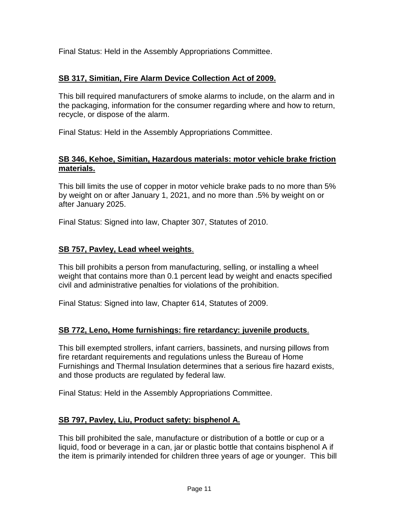Final Status: Held in the Assembly Appropriations Committee.

#### **SB 317, Simitian, Fire Alarm Device Collection Act of 2009.**

This bill required manufacturers of smoke alarms to include, on the alarm and in the packaging, information for the consumer regarding where and how to return, recycle, or dispose of the alarm.

Final Status: Held in the Assembly Appropriations Committee.

#### **SB 346, Kehoe, Simitian, Hazardous materials: motor vehicle brake friction materials.**

This bill limits the use of copper in motor vehicle brake pads to no more than 5% by weight on or after January 1, 2021, and no more than .5% by weight on or after January 2025.

Final Status: Signed into law, Chapter 307, Statutes of 2010.

#### **SB 757, Pavley, Lead wheel weights**.

This bill prohibits a person from manufacturing, selling, or installing a wheel weight that contains more than 0.1 percent lead by weight and enacts specified civil and administrative penalties for violations of the prohibition.

Final Status: Signed into law, Chapter 614, Statutes of 2009.

#### **SB 772, Leno, Home furnishings: fire retardancy: juvenile products**.

This bill exempted strollers, infant carriers, bassinets, and nursing pillows from fire retardant requirements and regulations unless the Bureau of Home Furnishings and Thermal Insulation determines that a serious fire hazard exists, and those products are regulated by federal law.

Final Status: Held in the Assembly Appropriations Committee.

#### **SB 797, Pavley, Liu, Product safety: bisphenol A.**

This bill prohibited the sale, manufacture or distribution of a bottle or cup or a liquid, food or beverage in a can, jar or plastic bottle that contains bisphenol A if the item is primarily intended for children three years of age or younger. This bill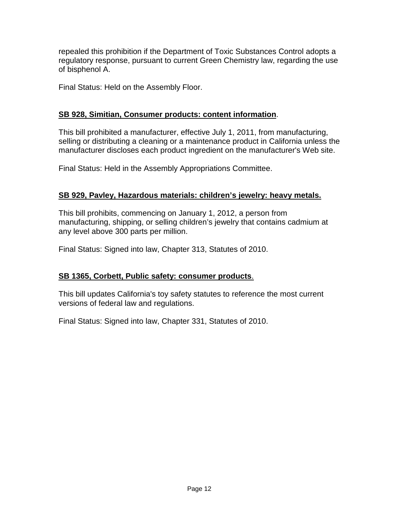repealed this prohibition if the Department of Toxic Substances Control adopts a regulatory response, pursuant to current Green Chemistry law, regarding the use of bisphenol A.

Final Status: Held on the Assembly Floor.

#### **SB 928, Simitian, Consumer products: content information**.

This bill prohibited a manufacturer, effective July 1, 2011, from manufacturing, selling or distributing a cleaning or a maintenance product in California unless the manufacturer discloses each product ingredient on the manufacturer's Web site.

Final Status: Held in the Assembly Appropriations Committee.

#### **SB 929, Pavley, Hazardous materials: children's jewelry: heavy metals.**

This bill prohibits, commencing on January 1, 2012, a person from manufacturing, shipping, or selling children's jewelry that contains cadmium at any level above 300 parts per million.

Final Status: Signed into law, Chapter 313, Statutes of 2010.

#### **SB 1365, Corbett, Public safety: consumer products**.

This bill updates California's toy safety statutes to reference the most current versions of federal law and regulations.

Final Status: Signed into law, Chapter 331, Statutes of 2010.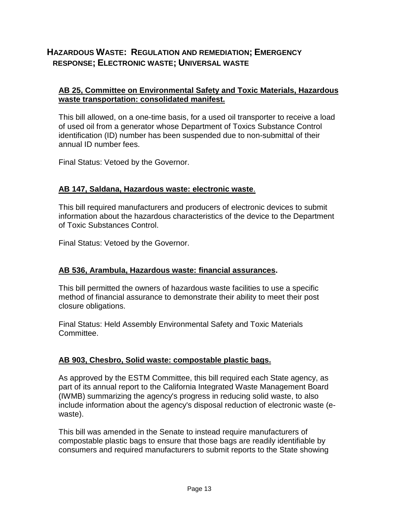#### **HAZARDOUS WASTE: REGULATION AND REMEDIATION; EMERGENCY RESPONSE; ELECTRONIC WASTE; UNIVERSAL WASTE**

#### **AB 25, Committee on Environmental Safety and Toxic Materials, Hazardous waste transportation: consolidated manifest.**

This bill allowed, on a one-time basis, for a used oil transporter to receive a load of used oil from a generator whose Department of Toxics Substance Control identification (ID) number has been suspended due to non-submittal of their annual ID number fees.

Final Status: Vetoed by the Governor.

#### **AB 147, Saldana, Hazardous waste: electronic waste**.

This bill required manufacturers and producers of electronic devices to submit information about the hazardous characteristics of the device to the Department of Toxic Substances Control.

Final Status: Vetoed by the Governor.

#### **AB 536, Arambula, Hazardous waste: financial assurances.**

This bill permitted the owners of hazardous waste facilities to use a specific method of financial assurance to demonstrate their ability to meet their post closure obligations.

Final Status: Held Assembly Environmental Safety and Toxic Materials Committee.

#### **AB 903, Chesbro, Solid waste: compostable plastic bags.**

As approved by the ESTM Committee, this bill required each State agency, as part of its annual report to the California Integrated Waste Management Board (IWMB) summarizing the agency's progress in reducing solid waste, to also include information about the agency's disposal reduction of electronic waste (ewaste).

This bill was amended in the Senate to instead require manufacturers of compostable plastic bags to ensure that those bags are readily identifiable by consumers and required manufacturers to submit reports to the State showing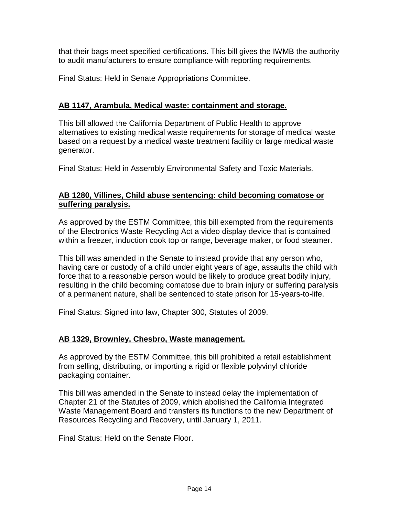that their bags meet specified certifications. This bill gives the IWMB the authority to audit manufacturers to ensure compliance with reporting requirements.

Final Status: Held in Senate Appropriations Committee.

#### **AB 1147, Arambula, Medical waste: containment and storage.**

This bill allowed the California Department of Public Health to approve alternatives to existing medical waste requirements for storage of medical waste based on a request by a medical waste treatment facility or large medical waste generator.

Final Status: Held in Assembly Environmental Safety and Toxic Materials.

#### **AB 1280, Villines, Child abuse sentencing: child becoming comatose or suffering paralysis.**

As approved by the ESTM Committee, this bill exempted from the requirements of the Electronics Waste Recycling Act a video display device that is contained within a freezer, induction cook top or range, beverage maker, or food steamer.

This bill was amended in the Senate to instead provide that any person who, having care or custody of a child under eight years of age, assaults the child with force that to a reasonable person would be likely to produce great bodily injury, resulting in the child becoming comatose due to brain injury or suffering paralysis of a permanent nature, shall be sentenced to state prison for 15-years-to-life.

Final Status: Signed into law, Chapter 300, Statutes of 2009.

#### **AB 1329, Brownley, Chesbro, Waste management.**

As approved by the ESTM Committee, this bill prohibited a retail establishment from selling, distributing, or importing a rigid or flexible polyvinyl chloride packaging container.

This bill was amended in the Senate to instead delay the implementation of Chapter 21 of the Statutes of 2009, which abolished the California Integrated Waste Management Board and transfers its functions to the new Department of Resources Recycling and Recovery, until January 1, 2011.

Final Status: Held on the Senate Floor.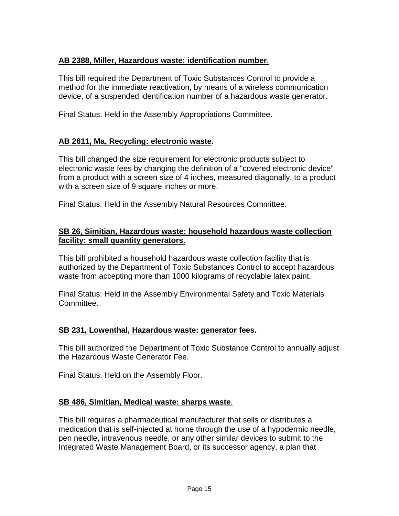#### **AB 2388, Miller, Hazardous waste: identification number**.

This bill required the Department of Toxic Substances Control to provide a method for the immediate reactivation, by means of a wireless communication device, of a suspended identification number of a hazardous waste generator.

Final Status: Held in the Assembly Appropriations Committee.

#### **AB 2611, Ma, Recycling: electronic waste.**

This bill changed the size requirement for electronic products subject to electronic waste fees by changing the definition of a "covered electronic device" from a product with a screen size of 4 inches, measured diagonally, to a product with a screen size of 9 square inches or more.

Final Status: Held in the Assembly Natural Resources Committee.

#### **SB 26, Simitian, Hazardous waste: household hazardous waste collection facility: small quantity generators**.

This bill prohibited a household hazardous waste collection facility that is authorized by the Department of Toxic Substances Control to accept hazardous waste from accepting more than 1000 kilograms of recyclable latex paint.

Final Status: Held in the Assembly Environmental Safety and Toxic Materials Committee.

#### **SB 231, Lowenthal, Hazardous waste: generator fees.**

This bill authorized the Department of Toxic Substance Control to annually adjust the Hazardous Waste Generator Fee.

Final Status: Held on the Assembly Floor.

#### **SB 486, Simitian, Medical waste: sharps waste**.

This bill requires a pharmaceutical manufacturer that sells or distributes a medication that is self-injected at home through the use of a hypodermic needle, pen needle, intravenous needle, or any other similar devices to submit to the Integrated Waste Management Board, or its successor agency, a plan that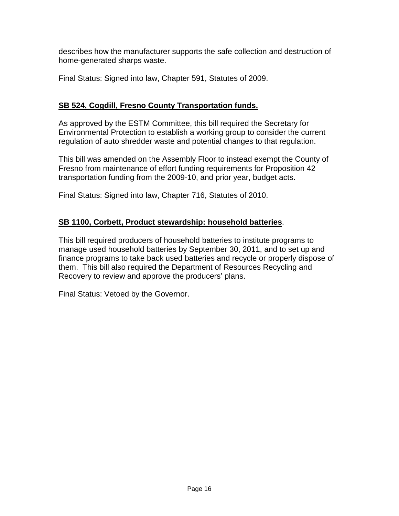describes how the manufacturer supports the safe collection and destruction of home-generated sharps waste.

Final Status: Signed into law, Chapter 591, Statutes of 2009.

#### **SB 524, Cogdill, Fresno County Transportation funds.**

As approved by the ESTM Committee, this bill required the Secretary for Environmental Protection to establish a working group to consider the current regulation of auto shredder waste and potential changes to that regulation.

This bill was amended on the Assembly Floor to instead exempt the County of Fresno from maintenance of effort funding requirements for Proposition 42 transportation funding from the 2009-10, and prior year, budget acts.

Final Status: Signed into law, Chapter 716, Statutes of 2010.

#### **SB 1100, Corbett, Product stewardship: household batteries**.

This bill required producers of household batteries to institute programs to manage used household batteries by September 30, 2011, and to set up and finance programs to take back used batteries and recycle or properly dispose of them. This bill also required the Department of Resources Recycling and Recovery to review and approve the producers' plans.

Final Status: Vetoed by the Governor.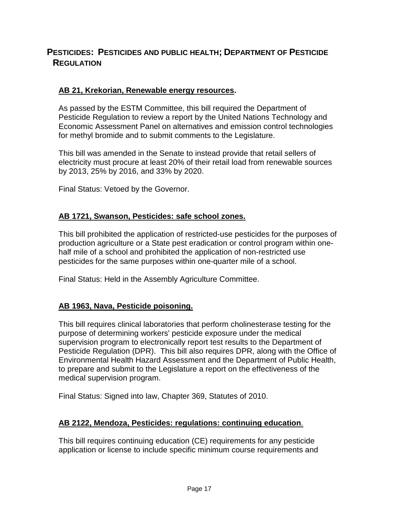#### **PESTICIDES: PESTICIDES AND PUBLIC HEALTH; DEPARTMENT OF PESTICIDE REGULATION**

#### **AB 21, Krekorian, Renewable energy resources.**

As passed by the ESTM Committee, this bill required the Department of Pesticide Regulation to review a report by the United Nations Technology and Economic Assessment Panel on alternatives and emission control technologies for methyl bromide and to submit comments to the Legislature.

This bill was amended in the Senate to instead provide that retail sellers of electricity must procure at least 20% of their retail load from renewable sources by 2013, 25% by 2016, and 33% by 2020.

Final Status: Vetoed by the Governor.

#### **AB 1721, Swanson, Pesticides: safe school zones.**

This bill prohibited the application of restricted-use pesticides for the purposes of production agriculture or a State pest eradication or control program within onehalf mile of a school and prohibited the application of non-restricted use pesticides for the same purposes within one-quarter mile of a school.

Final Status: Held in the Assembly Agriculture Committee.

#### **AB 1963, Nava, Pesticide poisoning.**

This bill requires clinical laboratories that perform cholinesterase testing for the purpose of determining workers' pesticide exposure under the medical supervision program to electronically report test results to the Department of Pesticide Regulation (DPR). This bill also requires DPR, along with the Office of Environmental Health Hazard Assessment and the Department of Public Health, to prepare and submit to the Legislature a report on the effectiveness of the medical supervision program.

Final Status: Signed into law, Chapter 369, Statutes of 2010.

#### **AB 2122, Mendoza, Pesticides: regulations: continuing education**.

This bill requires continuing education (CE) requirements for any pesticide application or license to include specific minimum course requirements and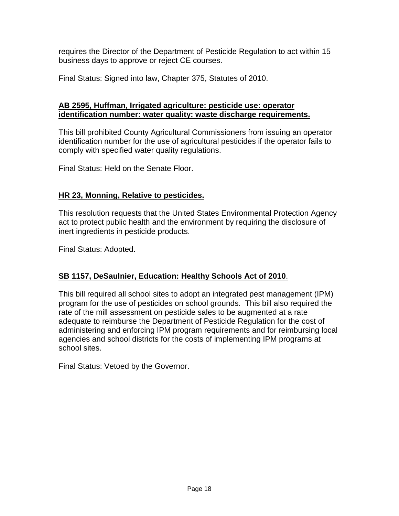requires the Director of the Department of Pesticide Regulation to act within 15 business days to approve or reject CE courses.

Final Status: Signed into law, Chapter 375, Statutes of 2010.

#### **AB 2595, Huffman, Irrigated agriculture: pesticide use: operator identification number: water quality: waste discharge requirements.**

This bill prohibited County Agricultural Commissioners from issuing an operator identification number for the use of agricultural pesticides if the operator fails to comply with specified water quality regulations.

Final Status: Held on the Senate Floor.

#### **HR 23, Monning, Relative to pesticides.**

This resolution requests that the United States Environmental Protection Agency act to protect public health and the environment by requiring the disclosure of inert ingredients in pesticide products.

Final Status: Adopted.

#### **SB 1157, DeSaulnier, Education: Healthy Schools Act of 2010**.

This bill required all school sites to adopt an integrated pest management (IPM) program for the use of pesticides on school grounds. This bill also required the rate of the mill assessment on pesticide sales to be augmented at a rate adequate to reimburse the Department of Pesticide Regulation for the cost of administering and enforcing IPM program requirements and for reimbursing local agencies and school districts for the costs of implementing IPM programs at school sites.

Final Status: Vetoed by the Governor.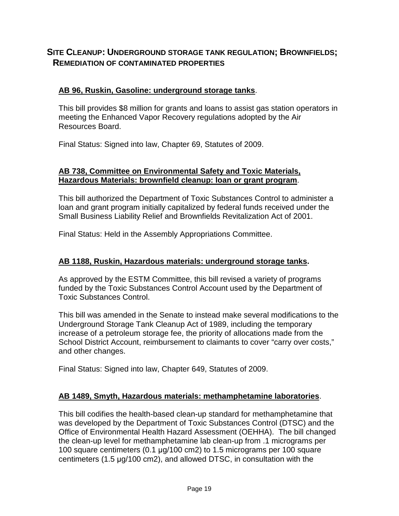#### **SITE CLEANUP: UNDERGROUND STORAGE TANK REGULATION; BROWNFIELDS; REMEDIATION OF CONTAMINATED PROPERTIES**

#### **AB 96, Ruskin, Gasoline: underground storage tanks**.

This bill provides \$8 million for grants and loans to assist gas station operators in meeting the Enhanced Vapor Recovery regulations adopted by the Air Resources Board.

Final Status: Signed into law, Chapter 69, Statutes of 2009.

#### **AB 738, Committee on Environmental Safety and Toxic Materials, Hazardous Materials: brownfield cleanup: loan or grant program**.

This bill authorized the Department of Toxic Substances Control to administer a loan and grant program initially capitalized by federal funds received under the Small Business Liability Relief and Brownfields Revitalization Act of 2001.

Final Status: Held in the Assembly Appropriations Committee.

#### **AB 1188, Ruskin, Hazardous materials: underground storage tanks.**

As approved by the ESTM Committee, this bill revised a variety of programs funded by the Toxic Substances Control Account used by the Department of Toxic Substances Control.

This bill was amended in the Senate to instead make several modifications to the Underground Storage Tank Cleanup Act of 1989, including the temporary increase of a petroleum storage fee, the priority of allocations made from the School District Account, reimbursement to claimants to cover "carry over costs," and other changes.

Final Status: Signed into law, Chapter 649, Statutes of 2009.

#### **AB 1489, Smyth, Hazardous materials: methamphetamine laboratories**.

This bill codifies the health-based clean-up standard for methamphetamine that was developed by the Department of Toxic Substances Control (DTSC) and the Office of Environmental Health Hazard Assessment (OEHHA). The bill changed the clean-up level for methamphetamine lab clean-up from .1 micrograms per 100 square centimeters (0.1 µg/100 cm2) to 1.5 micrograms per 100 square centimeters (1.5 µg/100 cm2), and allowed DTSC, in consultation with the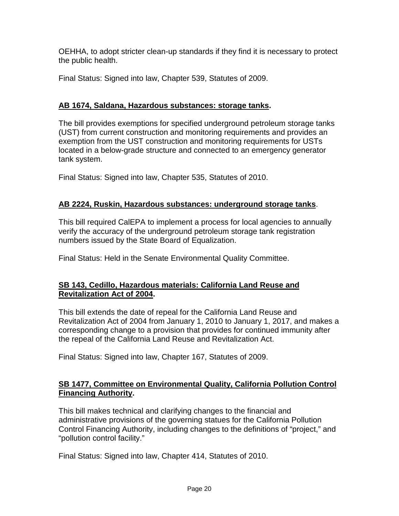OEHHA, to adopt stricter clean-up standards if they find it is necessary to protect the public health.

Final Status: Signed into law, Chapter 539, Statutes of 2009.

#### **AB 1674, Saldana, Hazardous substances: storage tanks.**

The bill provides exemptions for specified underground petroleum storage tanks (UST) from current construction and monitoring requirements and provides an exemption from the UST construction and monitoring requirements for USTs located in a below-grade structure and connected to an emergency generator tank system.

Final Status: Signed into law, Chapter 535, Statutes of 2010.

#### **AB 2224, Ruskin, Hazardous substances: underground storage tanks**.

This bill required CalEPA to implement a process for local agencies to annually verify the accuracy of the underground petroleum storage tank registration numbers issued by the State Board of Equalization.

Final Status: Held in the Senate Environmental Quality Committee.

#### **SB 143, Cedillo, Hazardous materials: California Land Reuse and Revitalization Act of 2004.**

This bill extends the date of repeal for the California Land Reuse and Revitalization Act of 2004 from January 1, 2010 to January 1, 2017, and makes a corresponding change to a provision that provides for continued immunity after the repeal of the California Land Reuse and Revitalization Act.

Final Status: Signed into law, Chapter 167, Statutes of 2009.

#### **SB 1477, Committee on Environmental Quality, California Pollution Control Financing Authority.**

This bill makes technical and clarifying changes to the financial and administrative provisions of the governing statues for the California Pollution Control Financing Authority, including changes to the definitions of "project," and "pollution control facility."

Final Status: Signed into law, Chapter 414, Statutes of 2010.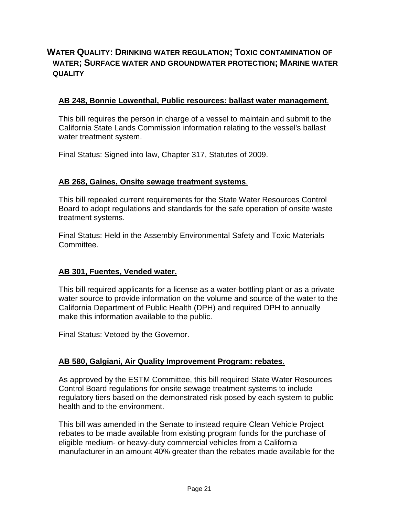#### **WATER QUALITY: DRINKING WATER REGULATION; TOXIC CONTAMINATION OF WATER; SURFACE WATER AND GROUNDWATER PROTECTION; MARINE WATER QUALITY**

#### **AB 248, Bonnie Lowenthal, Public resources: ballast water management**.

This bill requires the person in charge of a vessel to maintain and submit to the California State Lands Commission information relating to the vessel's ballast water treatment system.

Final Status: Signed into law, Chapter 317, Statutes of 2009.

#### **AB 268, Gaines, Onsite sewage treatment systems**.

This bill repealed current requirements for the State Water Resources Control Board to adopt regulations and standards for the safe operation of onsite waste treatment systems.

Final Status: Held in the Assembly Environmental Safety and Toxic Materials Committee.

#### **AB 301, Fuentes, Vended water.**

This bill required applicants for a license as a water-bottling plant or as a private water source to provide information on the volume and source of the water to the California Department of Public Health (DPH) and required DPH to annually make this information available to the public.

Final Status: Vetoed by the Governor.

#### **AB 580, Galgiani, Air Quality Improvement Program: rebates**.

As approved by the ESTM Committee, this bill required State Water Resources Control Board regulations for onsite sewage treatment systems to include regulatory tiers based on the demonstrated risk posed by each system to public health and to the environment.

This bill was amended in the Senate to instead require Clean Vehicle Project rebates to be made available from existing program funds for the purchase of eligible medium- or heavy-duty commercial vehicles from a California manufacturer in an amount 40% greater than the rebates made available for the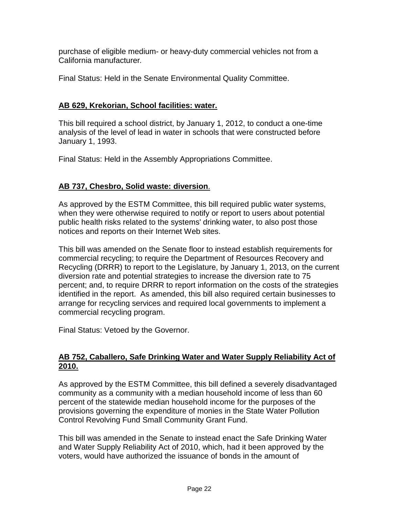purchase of eligible medium- or heavy-duty commercial vehicles not from a California manufacturer.

Final Status: Held in the Senate Environmental Quality Committee.

#### **AB 629, Krekorian, School facilities: water.**

This bill required a school district, by January 1, 2012, to conduct a one-time analysis of the level of lead in water in schools that were constructed before January 1, 1993.

Final Status: Held in the Assembly Appropriations Committee.

#### **AB 737, Chesbro, Solid waste: diversion**.

As approved by the ESTM Committee, this bill required public water systems, when they were otherwise required to notify or report to users about potential public health risks related to the systems' drinking water, to also post those notices and reports on their Internet Web sites.

This bill was amended on the Senate floor to instead establish requirements for commercial recycling; to require the Department of Resources Recovery and Recycling (DRRR) to report to the Legislature, by January 1, 2013, on the current diversion rate and potential strategies to increase the diversion rate to 75 percent; and, to require DRRR to report information on the costs of the strategies identified in the report. As amended, this bill also required certain businesses to arrange for recycling services and required local governments to implement a commercial recycling program.

Final Status: Vetoed by the Governor.

#### **AB 752, Caballero, Safe Drinking Water and Water Supply Reliability Act of 2010.**

As approved by the ESTM Committee, this bill defined a severely disadvantaged community as a community with a median household income of less than 60 percent of the statewide median household income for the purposes of the provisions governing the expenditure of monies in the State Water Pollution Control Revolving Fund Small Community Grant Fund.

This bill was amended in the Senate to instead enact the Safe Drinking Water and Water Supply Reliability Act of 2010, which, had it been approved by the voters, would have authorized the issuance of bonds in the amount of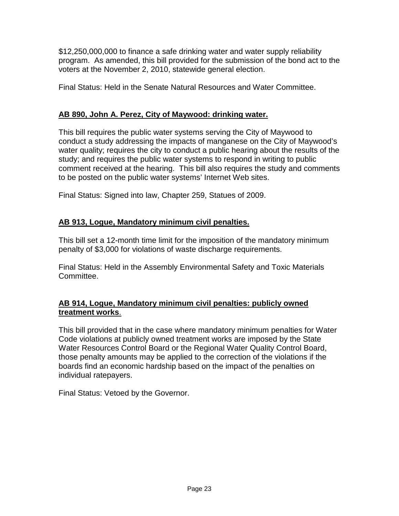\$12,250,000,000 to finance a safe drinking water and water supply reliability program. As amended, this bill provided for the submission of the bond act to the voters at the November 2, 2010, statewide general election.

Final Status: Held in the Senate Natural Resources and Water Committee.

#### **AB 890, John A. Perez, City of Maywood: drinking water.**

This bill requires the public water systems serving the City of Maywood to conduct a study addressing the impacts of manganese on the City of Maywood's water quality; requires the city to conduct a public hearing about the results of the study; and requires the public water systems to respond in writing to public comment received at the hearing. This bill also requires the study and comments to be posted on the public water systems' Internet Web sites.

Final Status: Signed into law, Chapter 259, Statues of 2009.

#### **AB 913, Logue, Mandatory minimum civil penalties.**

This bill set a 12-month time limit for the imposition of the mandatory minimum penalty of \$3,000 for violations of waste discharge requirements.

Final Status: Held in the Assembly Environmental Safety and Toxic Materials Committee.

#### **AB 914, Logue, Mandatory minimum civil penalties: publicly owned treatment works**.

This bill provided that in the case where mandatory minimum penalties for Water Code violations at publicly owned treatment works are imposed by the State Water Resources Control Board or the Regional Water Quality Control Board, those penalty amounts may be applied to the correction of the violations if the boards find an economic hardship based on the impact of the penalties on individual ratepayers.

Final Status: Vetoed by the Governor.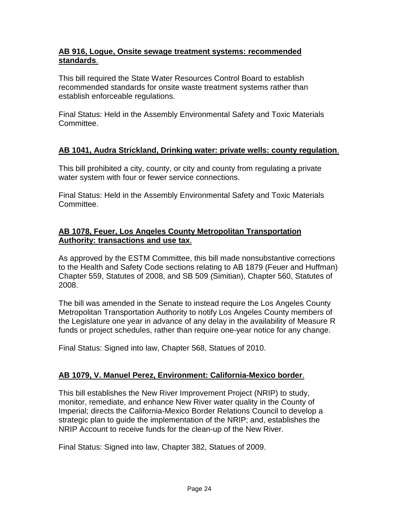#### **AB 916, Logue, Onsite sewage treatment systems: recommended standards**.

This bill required the State Water Resources Control Board to establish recommended standards for onsite waste treatment systems rather than establish enforceable regulations.

Final Status: Held in the Assembly Environmental Safety and Toxic Materials Committee.

#### **AB 1041, Audra Strickland, Drinking water: private wells: county regulation**.

This bill prohibited a city, county, or city and county from regulating a private water system with four or fewer service connections.

Final Status: Held in the Assembly Environmental Safety and Toxic Materials Committee.

#### **AB 1078, Feuer, Los Angeles County Metropolitan Transportation Authority: transactions and use tax**.

As approved by the ESTM Committee, this bill made nonsubstantive corrections to the Health and Safety Code sections relating to AB 1879 (Feuer and Huffman) Chapter 559, Statutes of 2008, and SB 509 (Simitian), Chapter 560, Statutes of 2008.

The bill was amended in the Senate to instead require the Los Angeles County Metropolitan Transportation Authority to notify Los Angeles County members of the Legislature one year in advance of any delay in the availability of Measure R funds or project schedules, rather than require one-year notice for any change.

Final Status: Signed into law, Chapter 568, Statues of 2010.

#### **AB 1079, V. Manuel Perez, Environment: California-Mexico border**.

This bill establishes the New River Improvement Project (NRIP) to study, monitor, remediate, and enhance New River water quality in the County of Imperial; directs the California-Mexico Border Relations Council to develop a strategic plan to guide the implementation of the NRIP; and, establishes the NRIP Account to receive funds for the clean-up of the New River.

Final Status: Signed into law, Chapter 382, Statues of 2009.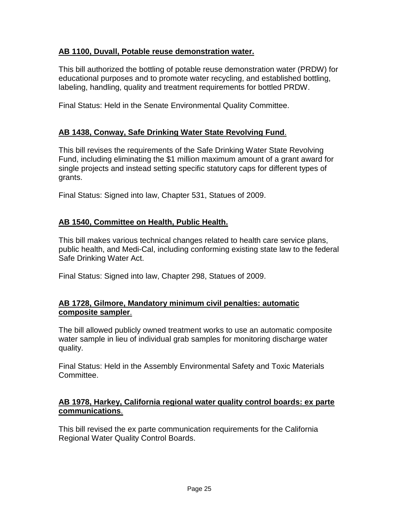#### **AB 1100, Duvall, Potable reuse demonstration water.**

This bill authorized the bottling of potable reuse demonstration water (PRDW) for educational purposes and to promote water recycling, and established bottling, labeling, handling, quality and treatment requirements for bottled PRDW.

Final Status: Held in the Senate Environmental Quality Committee.

#### **AB 1438, Conway, Safe Drinking Water State Revolving Fund**.

This bill revises the requirements of the Safe Drinking Water State Revolving Fund, including eliminating the \$1 million maximum amount of a grant award for single projects and instead setting specific statutory caps for different types of grants.

Final Status: Signed into law, Chapter 531, Statues of 2009.

#### **AB 1540, Committee on Health, Public Health.**

This bill makes various technical changes related to health care service plans, public health, and Medi-Cal, including conforming existing state law to the federal Safe Drinking Water Act.

Final Status: Signed into law, Chapter 298, Statues of 2009.

#### **AB 1728, Gilmore, Mandatory minimum civil penalties: automatic composite sampler**.

The bill allowed publicly owned treatment works to use an automatic composite water sample in lieu of individual grab samples for monitoring discharge water quality.

Final Status: Held in the Assembly Environmental Safety and Toxic Materials Committee.

#### **AB 1978, Harkey, California regional water quality control boards: ex parte communications**.

This bill revised the ex parte communication requirements for the California Regional Water Quality Control Boards.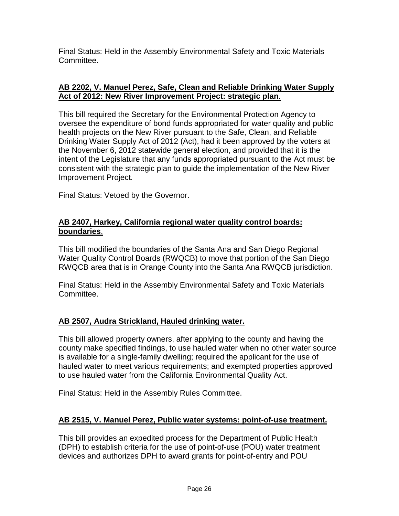Final Status: Held in the Assembly Environmental Safety and Toxic Materials Committee.

#### **AB 2202, V. Manuel Perez, Safe, Clean and Reliable Drinking Water Supply Act of 2012: New River Improvement Project: strategic plan**.

This bill required the Secretary for the Environmental Protection Agency to oversee the expenditure of bond funds appropriated for water quality and public health projects on the New River pursuant to the Safe, Clean, and Reliable Drinking Water Supply Act of 2012 (Act), had it been approved by the voters at the November 6, 2012 statewide general election, and provided that it is the intent of the Legislature that any funds appropriated pursuant to the Act must be consistent with the strategic plan to guide the implementation of the New River Improvement Project.

Final Status: Vetoed by the Governor.

#### **AB 2407, Harkey, California regional water quality control boards: boundaries**.

This bill modified the boundaries of the Santa Ana and San Diego Regional Water Quality Control Boards (RWQCB) to move that portion of the San Diego RWQCB area that is in Orange County into the Santa Ana RWQCB jurisdiction.

Final Status: Held in the Assembly Environmental Safety and Toxic Materials Committee.

#### **AB 2507, Audra Strickland, Hauled drinking water.**

This bill allowed property owners, after applying to the county and having the county make specified findings, to use hauled water when no other water source is available for a single-family dwelling; required the applicant for the use of hauled water to meet various requirements; and exempted properties approved to use hauled water from the California Environmental Quality Act.

Final Status: Held in the Assembly Rules Committee.

#### **AB 2515, V. Manuel Perez, Public water systems: point-of-use treatment.**

This bill provides an expedited process for the Department of Public Health (DPH) to establish criteria for the use of point-of-use (POU) water treatment devices and authorizes DPH to award grants for point-of-entry and POU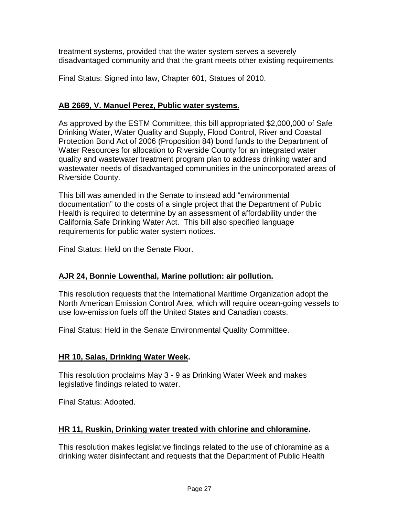treatment systems, provided that the water system serves a severely disadvantaged community and that the grant meets other existing requirements.

Final Status: Signed into law, Chapter 601, Statues of 2010.

#### **AB 2669, V. Manuel Perez, Public water systems.**

As approved by the ESTM Committee, this bill appropriated \$2,000,000 of Safe Drinking Water, Water Quality and Supply, Flood Control, River and Coastal Protection Bond Act of 2006 (Proposition 84) bond funds to the Department of Water Resources for allocation to Riverside County for an integrated water quality and wastewater treatment program plan to address drinking water and wastewater needs of disadvantaged communities in the unincorporated areas of Riverside County.

This bill was amended in the Senate to instead add "environmental documentation" to the costs of a single project that the Department of Public Health is required to determine by an assessment of affordability under the California Safe Drinking Water Act. This bill also specified language requirements for public water system notices.

Final Status: Held on the Senate Floor.

#### **AJR 24, Bonnie Lowenthal, Marine pollution: air pollution.**

This resolution requests that the International Maritime Organization adopt the North American Emission Control Area, which will require ocean-going vessels to use low-emission fuels off the United States and Canadian coasts.

Final Status: Held in the Senate Environmental Quality Committee.

#### **HR 10, Salas, Drinking Water Week.**

This resolution proclaims May 3 - 9 as Drinking Water Week and makes legislative findings related to water.

Final Status: Adopted.

#### **HR 11, Ruskin, Drinking water treated with chlorine and chloramine.**

This resolution makes legislative findings related to the use of chloramine as a drinking water disinfectant and requests that the Department of Public Health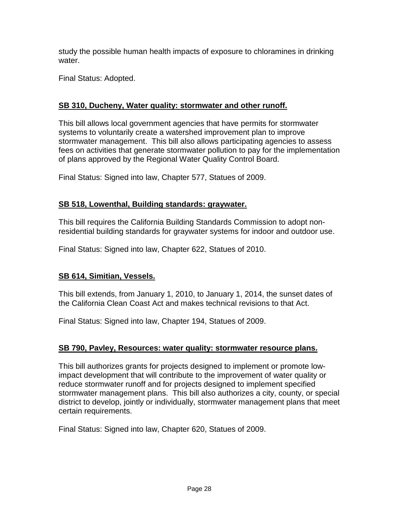study the possible human health impacts of exposure to chloramines in drinking water.

Final Status: Adopted.

#### **SB 310, Ducheny, Water quality: stormwater and other runoff.**

This bill allows local government agencies that have permits for stormwater systems to voluntarily create a watershed improvement plan to improve stormwater management. This bill also allows participating agencies to assess fees on activities that generate stormwater pollution to pay for the implementation of plans approved by the Regional Water Quality Control Board.

Final Status: Signed into law, Chapter 577, Statues of 2009.

#### **SB 518, Lowenthal, Building standards: graywater.**

This bill requires the California Building Standards Commission to adopt nonresidential building standards for graywater systems for indoor and outdoor use.

Final Status: Signed into law, Chapter 622, Statues of 2010.

#### **SB 614, Simitian, Vessels.**

This bill extends, from January 1, 2010, to January 1, 2014, the sunset dates of the California Clean Coast Act and makes technical revisions to that Act.

Final Status: Signed into law, Chapter 194, Statues of 2009.

#### **SB 790, Pavley, Resources: water quality: stormwater resource plans.**

This bill authorizes grants for projects designed to implement or promote lowimpact development that will contribute to the improvement of water quality or reduce stormwater runoff and for projects designed to implement specified stormwater management plans. This bill also authorizes a city, county, or special district to develop, jointly or individually, stormwater management plans that meet certain requirements.

Final Status: Signed into law, Chapter 620, Statues of 2009.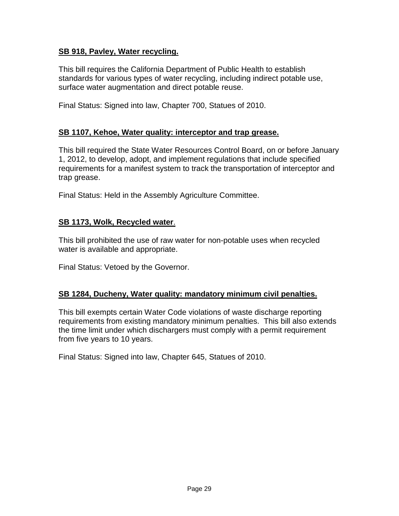#### **SB 918, Pavley, Water recycling.**

This bill requires the California Department of Public Health to establish standards for various types of water recycling, including indirect potable use, surface water augmentation and direct potable reuse.

Final Status: Signed into law, Chapter 700, Statues of 2010.

#### **SB 1107, Kehoe, Water quality: interceptor and trap grease.**

This bill required the State Water Resources Control Board, on or before January 1, 2012, to develop, adopt, and implement regulations that include specified requirements for a manifest system to track the transportation of interceptor and trap grease.

Final Status: Held in the Assembly Agriculture Committee.

#### **SB 1173, Wolk, Recycled water**.

This bill prohibited the use of raw water for non-potable uses when recycled water is available and appropriate.

Final Status: Vetoed by the Governor.

#### **SB 1284, Ducheny, Water quality: mandatory minimum civil penalties.**

This bill exempts certain Water Code violations of waste discharge reporting requirements from existing mandatory minimum penalties. This bill also extends the time limit under which dischargers must comply with a permit requirement from five years to 10 years.

Final Status: Signed into law, Chapter 645, Statues of 2010.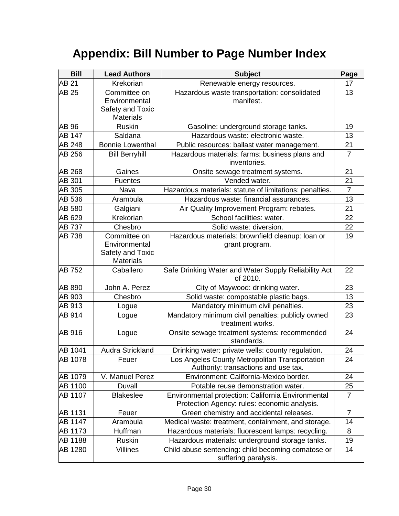## **Appendix: Bill Number to Page Number Index**

| <b>Bill</b>   | <b>Lead Authors</b>                                                   | <b>Subject</b>                                                                                     | Page           |
|---------------|-----------------------------------------------------------------------|----------------------------------------------------------------------------------------------------|----------------|
| <b>AB 21</b>  | Krekorian                                                             | Renewable energy resources.                                                                        | 17             |
| AB 25         | Committee on<br>Environmental<br>Safety and Toxic<br><b>Materials</b> | Hazardous waste transportation: consolidated<br>manifest.                                          | 13             |
| AB 96         | <b>Ruskin</b>                                                         | Gasoline: underground storage tanks.                                                               | 19             |
| AB 147        | Saldana                                                               | Hazardous waste: electronic waste.                                                                 | 13             |
| <b>AB 248</b> | <b>Bonnie Lowenthal</b>                                               | Public resources: ballast water management.                                                        | 21             |
| AB 256        | <b>Bill Berryhill</b>                                                 | Hazardous materials: farms: business plans and<br>inventories.                                     | $\overline{7}$ |
| AB 268        | Gaines                                                                | Onsite sewage treatment systems.                                                                   | 21             |
| AB 301        | <b>Fuentes</b>                                                        | Vended water.                                                                                      | 21             |
| AB 305        | Nava                                                                  | Hazardous materials: statute of limitations: penalties.                                            | $\overline{7}$ |
| AB 536        | Arambula                                                              | Hazardous waste: financial assurances.                                                             | 13             |
| AB 580        | Galgiani                                                              | Air Quality Improvement Program: rebates.                                                          | 21             |
| AB 629        | Krekorian                                                             | School facilities: water.                                                                          | 22             |
| <b>AB 737</b> | Chesbro                                                               | Solid waste: diversion.                                                                            | 22             |
| <b>AB 738</b> | Committee on<br>Environmental<br>Safety and Toxic<br><b>Materials</b> | Hazardous materials: brownfield cleanup: loan or<br>grant program.                                 | 19             |
| AB 752        | Caballero                                                             | Safe Drinking Water and Water Supply Reliability Act<br>of 2010.                                   | 22             |
| AB 890        | John A. Perez                                                         | City of Maywood: drinking water.                                                                   | 23             |
| AB 903        | Chesbro                                                               | Solid waste: compostable plastic bags.                                                             | 13             |
| AB 913        | Logue                                                                 | Mandatory minimum civil penalties.                                                                 | 23             |
| AB 914        | Logue                                                                 | Mandatory minimum civil penalties: publicly owned<br>treatment works.                              | 23             |
| AB 916        | Logue                                                                 | Onsite sewage treatment systems: recommended<br>standards.                                         | 24             |
| AB 1041       | Audra Strickland                                                      | Drinking water: private wells: county regulation.                                                  | 24             |
| AB 1078       | Feuer                                                                 | Los Angeles County Metropolitan Transportation<br>Authority: transactions and use tax.             | 24             |
| AB 1079       | V. Manuel Perez                                                       | Environment: California-Mexico border.                                                             | 24             |
| AB 1100       | Duvall                                                                | Potable reuse demonstration water.                                                                 | 25             |
| AB 1107       | <b>Blakeslee</b>                                                      | Environmental protection: California Environmental<br>Protection Agency: rules: economic analysis. | $\overline{7}$ |
| AB 1131       | Feuer                                                                 | Green chemistry and accidental releases.                                                           | $\overline{7}$ |
| AB 1147       | Arambula                                                              | Medical waste: treatment, containment, and storage.                                                | 14             |
| AB 1173       | Huffman                                                               | Hazardous materials: fluorescent lamps: recycling.                                                 | 8              |
| AB 1188       | Ruskin                                                                | Hazardous materials: underground storage tanks.                                                    | 19             |
| AB 1280       | Villines                                                              | Child abuse sentencing: child becoming comatose or<br>suffering paralysis.                         | 14             |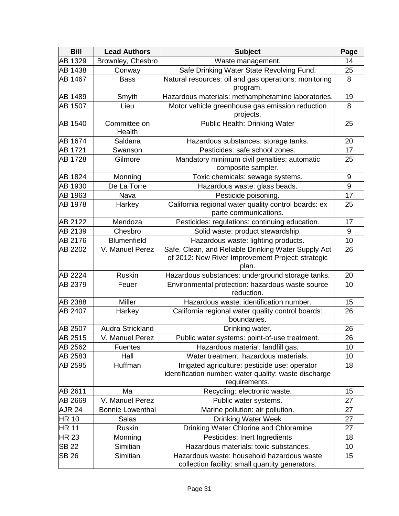| <b>Bill</b>    | <b>Lead Authors</b>     | <b>Subject</b>                                                                                                           | Page |
|----------------|-------------------------|--------------------------------------------------------------------------------------------------------------------------|------|
| AB 1329        | Brownley, Chesbro       | Waste management.                                                                                                        | 14   |
| AB 1438        | Conway                  | Safe Drinking Water State Revolving Fund.                                                                                | 25   |
| AB 1467        | <b>Bass</b>             | Natural resources: oil and gas operations: monitoring<br>program.                                                        | 8    |
| AB 1489        | Smyth                   | Hazardous materials: methamphetamine laboratories.                                                                       | 19   |
| <b>AB 1507</b> | Lieu                    | Motor vehicle greenhouse gas emission reduction<br>projects.                                                             | 8    |
| AB 1540        | Committee on<br>Health  | Public Health: Drinking Water                                                                                            | 25   |
| AB 1674        | Saldana                 | Hazardous substances: storage tanks.                                                                                     | 20   |
| AB 1721        | Swanson                 | Pesticides: safe school zones.                                                                                           | 17   |
| <b>AB 1728</b> | Gilmore                 | Mandatory minimum civil penalties: automatic<br>composite sampler.                                                       | 25   |
| <b>AB 1824</b> | Monning                 | Toxic chemicals: sewage systems.                                                                                         | 9    |
| AB 1930        | De La Torre             | Hazardous waste: glass beads.                                                                                            | 9    |
| AB 1963        | Nava                    | Pesticide poisoning.                                                                                                     | 17   |
| AB 1978        | Harkey                  | California regional water quality control boards: ex<br>parte communications.                                            | 25   |
| AB 2122        | Mendoza                 | Pesticides: regulations: continuing education.                                                                           | 17   |
| AB 2139        | Chesbro                 | Solid waste: product stewardship.                                                                                        | 9    |
| AB 2176        | <b>Blumenfield</b>      | Hazardous waste: lighting products.                                                                                      | 10   |
| AB 2202        | V. Manuel Perez         | Safe, Clean, and Reliable Drinking Water Supply Act<br>of 2012: New River Improvement Project: strategic<br>plan.        | 26   |
| AB 2224        | <b>Ruskin</b>           | Hazardous substances: underground storage tanks.                                                                         | 20   |
| AB 2379        | Feuer                   | Environmental protection: hazardous waste source<br>reduction.                                                           | 10   |
| AB 2388        | <b>Miller</b>           | Hazardous waste: identification number.                                                                                  | 15   |
| AB 2407        | Harkey                  | California regional water quality control boards:<br>boundaries.                                                         | 26   |
| AB 2507        | Audra Strickland        | Drinking water.                                                                                                          | 26   |
| AB 2515        | V. Manuel Perez         | Public water systems: point-of-use treatment.                                                                            | 26   |
| AB 2562        | <b>Fuentes</b>          | Hazardous material: landfill gas.                                                                                        | 10   |
| AB 2583        | Hall                    | Water treatment: hazardous materials.                                                                                    | 10   |
| AB 2595        | Huffman                 | Irrigated agriculture: pesticide use: operator<br>identification number: water quality: waste discharge<br>requirements. | 18   |
| AB 2611        | Ma                      | Recycling: electronic waste.                                                                                             | 15   |
| AB 2669        | V. Manuel Perez         | Public water systems.                                                                                                    | 27   |
| <b>AJR 24</b>  | <b>Bonnie Lowenthal</b> | Marine pollution: air pollution.                                                                                         | 27   |
| <b>HR 10</b>   | Salas                   | <b>Drinking Water Week</b>                                                                                               | 27   |
| <b>HR 11</b>   | Ruskin                  | Drinking Water Chlorine and Chloramine                                                                                   | 27   |
| HR 23          | Monning                 | Pesticides: Inert Ingredients                                                                                            | 18   |
| <b>SB 22</b>   | Simitian                | Hazardous materials: toxic substances.                                                                                   | 10   |
| <b>SB 26</b>   | Simitian                | Hazardous waste: household hazardous waste<br>collection facility: small quantity generators.                            | 15   |